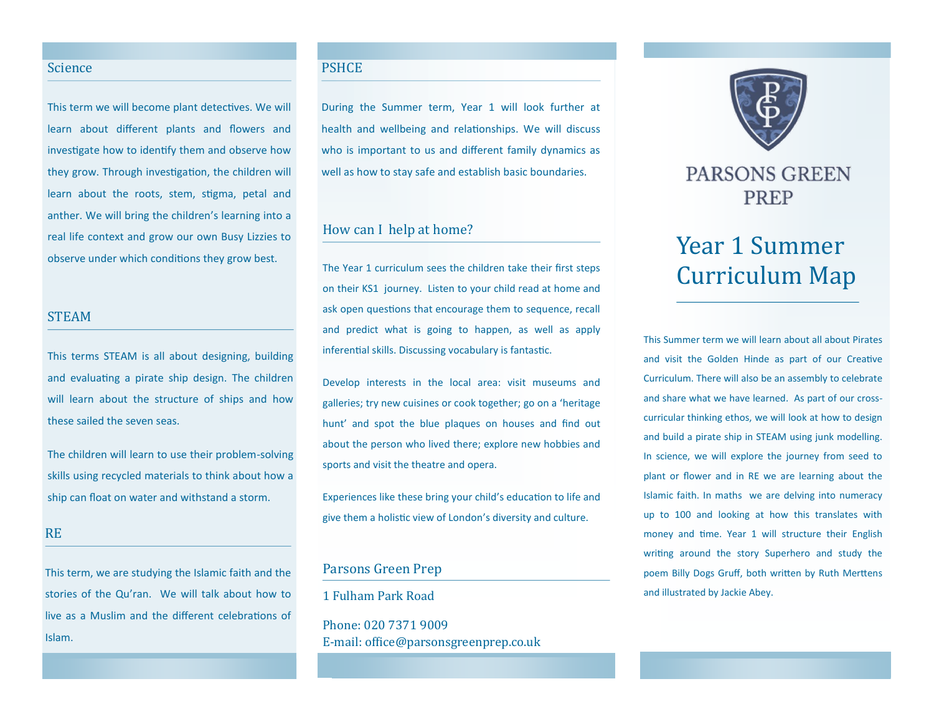#### Science

This term we will become plant detectives. We will learn about different plants and flowers and investigate how to identify them and observe how they grow. Through investigation, the children will learn about the roots, stem, stigma, petal and anther. We will bring the children's learning into a real life context and grow our own Busy Lizzies to observe under which conditions they grow best.

#### STEAM

This terms STEAM is all about designing, building and evaluating a pirate ship design. The children will learn about the structure of ships and how these sailed the seven seas.

The children will learn to use their problem-solving skills using recycled materials to think about how a ship can float on water and withstand a storm.

#### RE

This term, we are studying the Islamic faith and the stories of the Qu'ran. We will talk about how to live as a Muslim and the different celebrations of Islam.

# PSHCE

During the Summer term, Year 1 will look further at health and wellbeing and relationships. We will discuss who is important to us and different family dynamics as well as how to stay safe and establish basic boundaries.

# How can I help at home?

The Year 1 curriculum sees the children take their first steps on their KS1 journey. Listen to your child read at home and ask open questions that encourage them to sequence, recall and predict what is going to happen, as well as apply inferential skills. Discussing vocabulary is fantastic.

Develop interests in the local area: visit museums and galleries; try new cuisines or cook together; go on a 'heritage hunt' and spot the blue plaques on houses and find out about the person who lived there; explore new hobbies and sports and visit the theatre and opera.

Experiences like these bring your child's education to life and give them a holistic view of London's diversity and culture.

# Parsons Green Prep

1 Fulham Park Road

Phone: 020 7371 9009 E-mail: office@parsonsgreenprep.co.uk



# **PARSONS GREEN PREP**

# Year 1 Summer Curriculum Map

This Summer term we will learn about all about Pirates and visit the Golden Hinde as part of our Creative Curriculum. There will also be an assembly to celebrate and share what we have learned. As part of our crosscurricular thinking ethos, we will look at how to design and build a pirate ship in STEAM using junk modelling. In science, we will explore the journey from seed to plant or flower and in RE we are learning about the Islamic faith. In maths we are delving into numeracy up to 100 and looking at how this translates with money and time. Year 1 will structure their English writing around the story Superhero and study the poem Billy Dogs Gruff, both written by Ruth Merttens and illustrated by Jackie Abey.